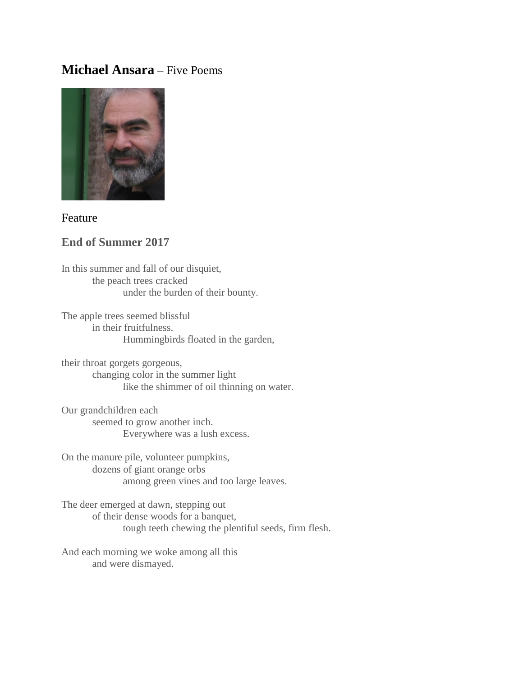# **Michael Ansara** – Five Poems



# Feature

## **End of Summer 2017**

In this summer and fall of our disquiet, the peach trees cracked under the burden of their bounty.

The apple trees seemed blissful in their fruitfulness. Hummingbirds floated in the garden,

their throat gorgets gorgeous, changing color in the summer light like the shimmer of oil thinning on water.

Our grandchildren each seemed to grow another inch. Everywhere was a lush excess.

On the manure pile, volunteer pumpkins, dozens of giant orange orbs among green vines and too large leaves.

The deer emerged at dawn, stepping out of their dense woods for a banquet, tough teeth chewing the plentiful seeds, firm flesh.

And each morning we woke among all this and were dismayed.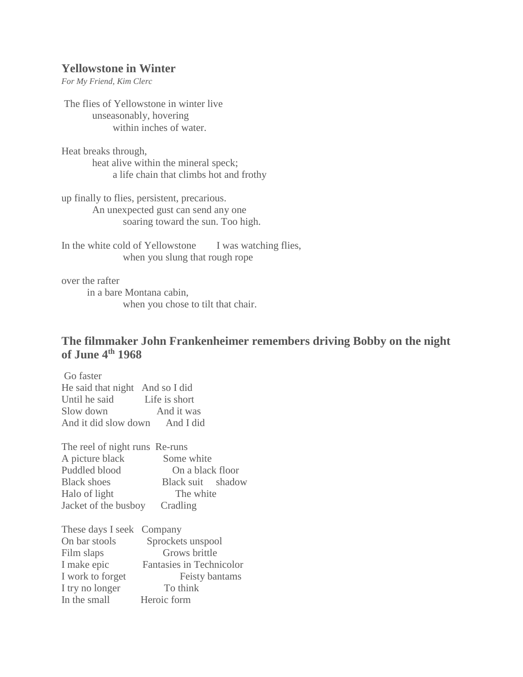#### **Yellowstone in Winter**

*For My Friend, Kim Clerc*

The flies of Yellowstone in winter live unseasonably, hovering within inches of water.

Heat breaks through, heat alive within the mineral speck; a life chain that climbs hot and frothy

up finally to flies, persistent, precarious. An unexpected gust can send any one soaring toward the sun. Too high.

In the white cold of Yellowstone I was watching flies, when you slung that rough rope

over the rafter in a bare Montana cabin, when you chose to tilt that chair.

# **The filmmaker John Frankenheimer remembers driving Bobby on the night of June 4th 1968**

Go faster He said that night And so I did Until he said Life is short Slow down And it was And it did slow down And I did

| The reel of night runs Re-runs |                   |  |
|--------------------------------|-------------------|--|
| A picture black                | Some white        |  |
| Puddled blood                  | On a black floor  |  |
| <b>Black shoes</b>             | Black suit shadow |  |
| Halo of light                  | The white         |  |
| Jacket of the busboy           | Cradling          |  |

| These days I seek Company |                          |
|---------------------------|--------------------------|
| On bar stools             | Sprockets unspool        |
| Film slaps                | Grows brittle            |
| I make epic               | Fantasies in Technicolor |
| I work to forget          | Feisty bantams           |
| I try no longer           | To think                 |
| In the small              | Heroic form              |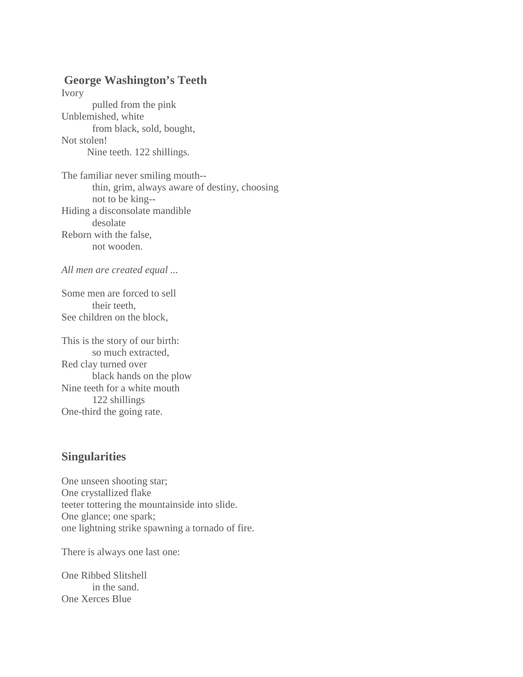### **George Washington's Teeth**

Ivory pulled from the pink Unblemished, white from black, sold, bought, Not stolen! Nine teeth. 122 shillings.

The familiar never smiling mouth- thin, grim, always aware of destiny, choosing not to be king-- Hiding a disconsolate mandible desolate Reborn with the false, not wooden.

*All men are created equal ...*

Some men are forced to sell their teeth, See children on the block,

This is the story of our birth: so much extracted, Red clay turned over black hands on the plow Nine teeth for a white mouth 122 shillings One-third the going rate.

#### **Singularities**

One unseen shooting star; One crystallized flake teeter tottering the mountainside into slide. One glance; one spark; one lightning strike spawning a tornado of fire.

There is always one last one:

One Ribbed Slitshell in the sand. One Xerces Blue